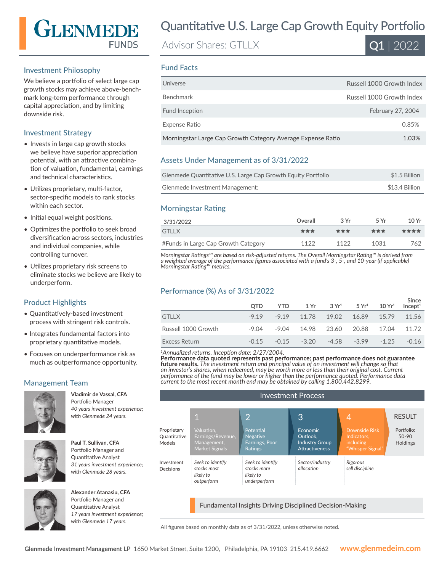

## Investment Philosophy

We believe a portfolio of select large cap growth stocks may achieve above-benchmark long-term performance through capital appreciation, and by limiting downside risk.

# Investment Strategy

- Invests in large cap growth stocks we believe have superior appreciation potential, with an attractive combination of valuation, fundamental, earnings and technical characteristics.
- Utilizes proprietary, multi-factor, sector-specific models to rank stocks within each sector.
- Initial equal weight positions.
- Optimizes the portfolio to seek broad diversification across sectors, industries and individual companies, while controlling turnover.
- Utilizes proprietary risk screens to eliminate stocks we believe are likely to underperform.

# Product Highlights

- Quantitatively-based investment process with stringent risk controls.
- Integrates fundamental factors into proprietary quantitative models.
- Focuses on underperformance risk as much as outperformance opportunity.

# Management Team



**Vladimir de Vassal, CFA**  Portfolio Manager *40 years investment experience; with Glenmede 24 years.*



**Paul T. Sullivan, CFA**  Portfolio Manager and Quantitative Analyst *31 years investment experience; with Glenmede 28 years.*



**Alexander Atanasiu, CFA**  Portfolio Manager and Quantitative Analyst *17 years investment experience; with Glenmede 17 years.*

# Quantitative U.S. Large Cap Growth Equity Portfolio

Advisor Shares: GTLLX



## Fund Facts

| Universe                                                    | Russell 1000 Growth Index |
|-------------------------------------------------------------|---------------------------|
| <b>Benchmark</b>                                            | Russell 1000 Growth Index |
| Fund Inception                                              | February 27, 2004         |
| Expense Ratio                                               | 0.85%                     |
| Morningstar Large Cap Growth Category Average Expense Ratio | 1.03%                     |

# Assets Under Management as of 3/31/2022

| Glenmede Quantitative U.S. Large Cap Growth Equity Portfolio | \$1.5 Billion  |
|--------------------------------------------------------------|----------------|
| Glenmede Investment Management:                              | \$13.4 Billion |

# Morningstar Rating

| 3/31/2022                           | Overall | 3Vr  | 5 Vr | 10Yr |
|-------------------------------------|---------|------|------|------|
| <b>GTLLX</b>                        | ***     | ***  | ***  | **** |
| #Funds in Large Cap Growth Category | 1122    | 1122 | 1031 | 762  |

*Morningstar Ratings™ are based on risk-adjusted returns. The Overall Morningstar Rating™ is derived from a weighted average of the performance figures associated with a fund's 3-, 5-, and 10-year (if applicable) Morningstar Rating™ metrics.*

### Performance (%) As of 3/31/2022

|                     | <b>OTD</b> | <b>YTD</b> |                                                         | $1 \text{Yr}$ $3 \text{Yr}^1$ $5 \text{Yr}^1$ $10 \text{Yr}^1$ | Since<br>Incept <sup>1</sup> |
|---------------------|------------|------------|---------------------------------------------------------|----------------------------------------------------------------|------------------------------|
| <b>GTLLX</b>        |            |            | $-9.19$ $-9.19$ $11.78$ $19.02$ $16.89$ $15.79$ $11.56$ |                                                                |                              |
| Russell 1000 Growth | -9.04      |            | -9.04 14.98 23.60 20.88 17.04 11.72                     |                                                                |                              |
| Excess Return       | $-0.15$    | $-0.15$    | $-3.20$                                                 | $-4.58 -3.99 -1.25$                                            | $-0.16$                      |

*<sup>1</sup>Annualized returns. Inception date: 2/27/2004.*

**Performance data quoted represents past performance; past performance does not guarantee future results.** *The investment return and principal value of an investment will change so that an investor's shares, when redeemed, may be worth more or less than their original cost. Current performance of the fund may be lower or higher than the performance quoted. Performance data current to the most recent month end may be obtained by calling 1.800.442.8299.*

| <b>Investment Process</b>                                       |                                                                         |                                                                  |                                                                               |                                                                      |                                          |
|-----------------------------------------------------------------|-------------------------------------------------------------------------|------------------------------------------------------------------|-------------------------------------------------------------------------------|----------------------------------------------------------------------|------------------------------------------|
|                                                                 |                                                                         |                                                                  |                                                                               |                                                                      |                                          |
|                                                                 | 1                                                                       | 2                                                                | 3                                                                             |                                                                      | <b>RESULT</b>                            |
| Proprietary<br>Quantitative<br>Models                           | Valuation,<br>Earnings/Revenue,<br>Management,<br><b>Market Signals</b> | Potential<br><b>Negative</b><br>Earnings, Poor<br><b>Ratings</b> | <b>Economic</b><br>Outlook.<br><b>Industry Group</b><br><b>Attractiveness</b> | Downside Risk<br>Indicators,<br><b>including</b><br>"Whisper Signal" | Portfolio:<br>$50-90$<br><b>Holdings</b> |
| Investment<br>Decisions                                         | Seek to identify<br>stocks most<br>likely to<br>outperform              | Seek to identify<br>stocks more<br>likely to<br>underperform     | Sector/industry<br>allocation                                                 | Rigorous<br>sell discipline                                          |                                          |
| <b>Fundamental Insights Driving Disciplined Decision-Making</b> |                                                                         |                                                                  |                                                                               |                                                                      |                                          |

All figures based on monthly data as of 3/31/2022, unless otherwise noted.